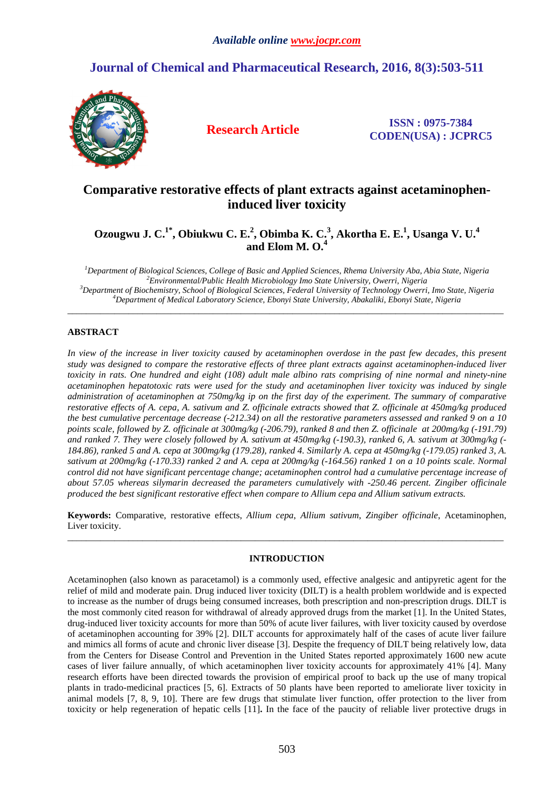# **Journal of Chemical and Pharmaceutical Research, 2016, 8(3):503-511**



**Research Article ISSN : 0975-7384 CODEN(USA) : JCPRC5**

# **Comparative restorative effects of plant extracts against acetaminopheninduced liver toxicity**

**Ozougwu J. C.1\*, Obiukwu C. E.<sup>2</sup> , Obimba K. C.<sup>3</sup> , Akortha E. E.<sup>1</sup> , Usanga V. U.<sup>4</sup> and Elom M. O.<sup>4</sup>**

*Department of Biological Sciences, College of Basic and Applied Sciences, Rhema University Aba, Abia State, Nigeria Environmental/Public Health Microbiology Imo State University, Owerri, Nigeria Department of Biochemistry, School of Biological Sciences, Federal University of Technology Owerri, Imo State, Nigeria Department of Medical Laboratory Science, Ebonyi State University, Abakaliki, Ebonyi State, Nigeria* 

\_\_\_\_\_\_\_\_\_\_\_\_\_\_\_\_\_\_\_\_\_\_\_\_\_\_\_\_\_\_\_\_\_\_\_\_\_\_\_\_\_\_\_\_\_\_\_\_\_\_\_\_\_\_\_\_\_\_\_\_\_\_\_\_\_\_\_\_\_\_\_\_\_\_\_\_\_\_\_\_\_\_\_\_\_\_\_\_\_\_\_\_\_

# **ABSTRACT**

*In view of the increase in liver toxicity caused by acetaminophen overdose in the past few decades, this present study was designed to compare the restorative effects of three plant extracts against acetaminophen-induced liver toxicity in rats. One hundred and eight (108) adult male albino rats comprising of nine normal and ninety-nine acetaminophen hepatotoxic rats were used for the study and acetaminophen liver toxicity was induced by single administration of acetaminophen at 750mg/kg ip on the first day of the experiment. The summary of comparative restorative effects of A. cepa, A. sativum and Z. officinale extracts showed that Z. officinale at 450mg/kg produced the best cumulative percentage decrease (-212.34) on all the restorative parameters assessed and ranked 9 on a 10 points scale, followed by Z. officinale at 300mg/kg (-206.79), ranked 8 and then Z. officinale at 200mg/kg (-191.79) and ranked 7. They were closely followed by A. sativum at 450mg/kg (-190.3), ranked 6, A. sativum at 300mg/kg (- 184.86), ranked 5 and A. cepa at 300mg/kg (179.28), ranked 4. Similarly A. cepa at 450mg/kg (-179.05) ranked 3, A. sativum at 200mg/kg (-170.33) ranked 2 and A. cepa at 200mg/kg (-164.56) ranked 1 on a 10 points scale. Normal control did not have significant percentage change; acetaminophen control had a cumulative percentage increase of about 57.05 whereas silymarin decreased the parameters cumulatively with -250.46 percent. Zingiber officinale produced the best significant restorative effect when compare to Allium cepa and Allium sativum extracts.* 

**Keywords:** Comparative, restorative effects, *Allium cepa*, *Allium sativum*, *Zingiber officinale*, Acetaminophen, Liver toxicity. \_\_\_\_\_\_\_\_\_\_\_\_\_\_\_\_\_\_\_\_\_\_\_\_\_\_\_\_\_\_\_\_\_\_\_\_\_\_\_\_\_\_\_\_\_\_\_\_\_\_\_\_\_\_\_\_\_\_\_\_\_\_\_\_\_\_\_\_\_\_\_\_\_\_\_\_\_\_\_\_\_\_\_\_\_\_\_\_\_\_\_\_\_

# **INTRODUCTION**

Acetaminophen (also known as paracetamol) is a commonly used, effective analgesic and antipyretic agent for the relief of mild and moderate pain. Drug induced liver toxicity (DILT) is a health problem worldwide and is expected to increase as the number of drugs being consumed increases, both prescription and non-prescription drugs. DILT is the most commonly cited reason for withdrawal of already approved drugs from the market [1]. In the United States, drug-induced liver toxicity accounts for more than 50% of acute liver failures, with liver toxicity caused by overdose of acetaminophen accounting for 39% [2]. DILT accounts for approximately half of the cases of acute liver failure and mimics all forms of acute and chronic liver disease [3]. Despite the frequency of DILT being relatively low, data from the Centers for Disease Control and Prevention in the United States reported approximately 1600 new acute cases of liver failure annually, of which acetaminophen liver toxicity accounts for approximately 41% [4]. Many research efforts have been directed towards the provision of empirical proof to back up the use of many tropical plants in trado-medicinal practices [5, 6]. Extracts of 50 plants have been reported to ameliorate liver toxicity in animal models [7, 8, 9, 10]. There are few drugs that stimulate liver function, offer protection to the liver from toxicity or help regeneration of hepatic cells [11]**.** In the face of the paucity of reliable liver protective drugs in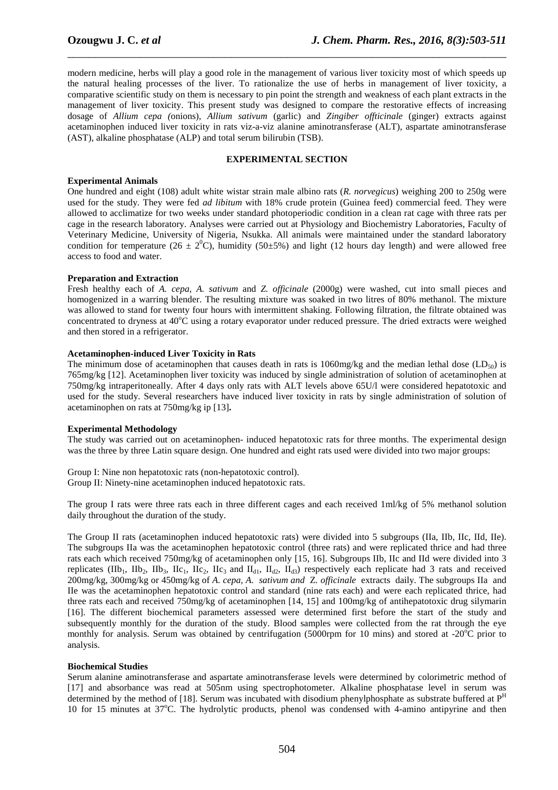modern medicine, herbs will play a good role in the management of various liver toxicity most of which speeds up the natural healing processes of the liver. To rationalize the use of herbs in management of liver toxicity, a comparative scientific study on them is necessary to pin point the strength and weakness of each plant extracts in the management of liver toxicity. This present study was designed to compare the restorative effects of increasing dosage of *Allium cepa (*onions), *Allium sativum* (garlic) and *Zingiber offticinale* (ginger) extracts against acetaminophen induced liver toxicity in rats viz-a-viz alanine aminotransferase (ALT), aspartate aminotransferase (AST), alkaline phosphatase (ALP) and total serum bilirubin (TSB).

\_\_\_\_\_\_\_\_\_\_\_\_\_\_\_\_\_\_\_\_\_\_\_\_\_\_\_\_\_\_\_\_\_\_\_\_\_\_\_\_\_\_\_\_\_\_\_\_\_\_\_\_\_\_\_\_\_\_\_\_\_\_\_\_\_\_\_\_\_\_\_\_\_\_\_\_\_\_

### **EXPERIMENTAL SECTION**

#### **Experimental Animals**

One hundred and eight (108) adult white wistar strain male albino rats (*R. norvegicus*) weighing 200 to 250g were used for the study. They were fed *ad libitum* with 18% crude protein (Guinea feed) commercial feed. They were allowed to acclimatize for two weeks under standard photoperiodic condition in a clean rat cage with three rats per cage in the research laboratory. Analyses were carried out at Physiology and Biochemistry Laboratories, Faculty of Veterinary Medicine, University of Nigeria, Nsukka. All animals were maintained under the standard laboratory condition for temperature (26  $\pm$  2<sup>0</sup>C), humidity (50 $\pm$ 5%) and light (12 hours day length) and were allowed free access to food and water.

#### **Preparation and Extraction**

Fresh healthy each of *A. cepa*, *A. sativum* and *Z. officinale* (2000g) were washed, cut into small pieces and homogenized in a warring blender. The resulting mixture was soaked in two litres of 80% methanol. The mixture was allowed to stand for twenty four hours with intermittent shaking. Following filtration, the filtrate obtained was concentrated to dryness at  $40^{\circ}$ C using a rotary evaporator under reduced pressure. The dried extracts were weighed and then stored in a refrigerator.

#### **Acetaminophen-induced Liver Toxicity in Rats**

The minimum dose of acetaminophen that causes death in rats is 1060mg/kg and the median lethal dose  $(LD_{50})$  is 765mg/kg [12]. Acetaminophen liver toxicity was induced by single administration of solution of acetaminophen at 750mg/kg intraperitoneally. After 4 days only rats with ALT levels above 65U/l were considered hepatotoxic and used for the study. Several researchers have induced liver toxicity in rats by single administration of solution of acetaminophen on rats at 750mg/kg ip [13]**.** 

#### **Experimental Methodology**

The study was carried out on acetaminophen- induced hepatotoxic rats for three months. The experimental design was the three by three Latin square design. One hundred and eight rats used were divided into two major groups:

Group I: Nine non hepatotoxic rats (non-hepatotoxic control). Group II: Ninety-nine acetaminophen induced hepatotoxic rats.

The group I rats were three rats each in three different cages and each received 1ml/kg of 5% methanol solution daily throughout the duration of the study.

The Group II rats (acetaminophen induced hepatotoxic rats) were divided into 5 subgroups (IIa, IIb, IIc, IId, IIe). The subgroups IIa was the acetaminophen hepatotoxic control (three rats) and were replicated thrice and had three rats each which received 750mg/kg of acetaminophen only [15, 16]. Subgroups IIb, IIc and IId were divided into 3 replicates (IIb<sub>1</sub>, IIb<sub>2</sub>, IIb<sub>3</sub>, IIc<sub>1</sub>, II<sub>c2</sub>, II<sub>c3</sub> and II<sub>d1</sub>, II<sub>d2</sub>, II<sub>d3</sub>) respectively each replicate had 3 rats and received 200mg/kg, 300mg/kg or 450mg/kg of *A. cepa, A. sativum and* Z*. officinale* extracts daily. The subgroups IIa and IIe was the acetaminophen hepatotoxic control and standard (nine rats each) and were each replicated thrice, had three rats each and received 750mg/kg of acetaminophen [14, 15] and 100mg/kg of antihepatotoxic drug silymarin [16]. The different biochemical parameters assessed were determined first before the start of the study and subsequently monthly for the duration of the study. Blood samples were collected from the rat through the eye monthly for analysis. Serum was obtained by centrifugation (5000rpm for 10 mins) and stored at -20 $^{\circ}$ C prior to analysis.

#### **Biochemical Studies**

Serum alanine aminotransferase and aspartate aminotransferase levels were determined by colorimetric method of [17] and absorbance was read at 505nm using spectrophotometer. Alkaline phosphatase level in serum was determined by the method of [18]. Serum was incubated with disodium phenylphosphate as substrate buffered at P<sup>H</sup> 10 for 15 minutes at 37<sup>o</sup>C. The hydrolytic products, phenol was condensed with 4-amino antipyrine and then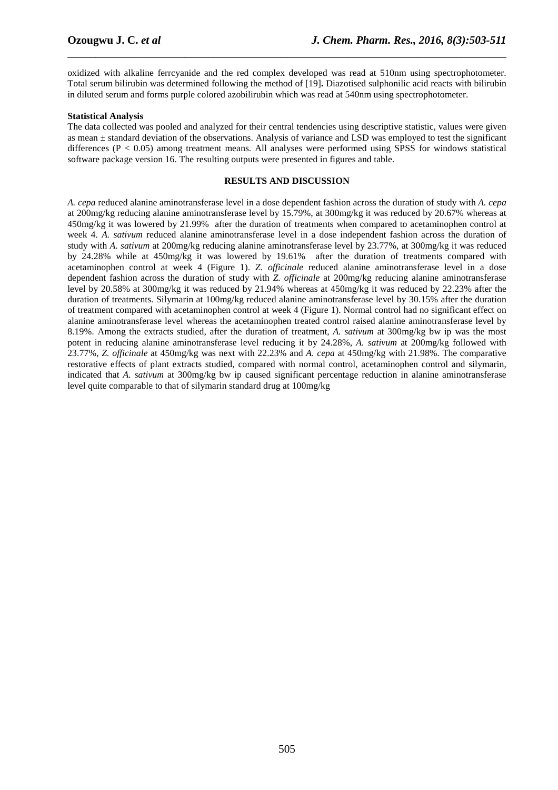oxidized with alkaline ferrcyanide and the red complex developed was read at 510nm using spectrophotometer. Total serum bilirubin was determined following the method of [19]**.** Diazotised sulphonilic acid reacts with bilirubin in diluted serum and forms purple colored azobilirubin which was read at 540nm using spectrophotometer.

\_\_\_\_\_\_\_\_\_\_\_\_\_\_\_\_\_\_\_\_\_\_\_\_\_\_\_\_\_\_\_\_\_\_\_\_\_\_\_\_\_\_\_\_\_\_\_\_\_\_\_\_\_\_\_\_\_\_\_\_\_\_\_\_\_\_\_\_\_\_\_\_\_\_\_\_\_\_

# **Statistical Analysis**

The data collected was pooled and analyzed for their central tendencies using descriptive statistic, values were given as mean ± standard deviation of the observations. Analysis of variance and LSD was employed to test the significant differences (P < 0.05) among treatment means. All analyses were performed using SPSS for windows statistical software package version 16. The resulting outputs were presented in figures and table.

### **RESULTS AND DISCUSSION**

*A. cepa* reduced alanine aminotransferase level in a dose dependent fashion across the duration of study with *A. cepa* at 200mg/kg reducing alanine aminotransferase level by 15.79%, at 300mg/kg it was reduced by 20.67% whereas at 450mg/kg it was lowered by 21.99% after the duration of treatments when compared to acetaminophen control at week 4. *A. sativum* reduced alanine aminotransferase level in a dose independent fashion across the duration of study with *A. sativum* at 200mg/kg reducing alanine aminotransferase level by 23.77%, at 300mg/kg it was reduced by 24.28% while at 450mg/kg it was lowered by 19.61% after the duration of treatments compared with acetaminophen control at week 4 (Figure 1). *Z. officinale* reduced alanine aminotransferase level in a dose dependent fashion across the duration of study with *Z. officinale* at 200mg/kg reducing alanine aminotransferase level by 20.58% at 300mg/kg it was reduced by 21.94% whereas at 450mg/kg it was reduced by 22.23% after the duration of treatments. Silymarin at 100mg/kg reduced alanine aminotransferase level by 30.15% after the duration of treatment compared with acetaminophen control at week 4 (Figure 1). Normal control had no significant effect on alanine aminotransferase level whereas the acetaminophen treated control raised alanine aminotransferase level by 8.19%. Among the extracts studied, after the duration of treatment, *A. sativum* at 300mg/kg bw ip was the most potent in reducing alanine aminotransferase level reducing it by 24.28%, *A. sativum* at 200mg/kg followed with 23.77%, *Z. officinale* at 450mg/kg was next with 22.23% and *A. cepa* at 450mg/kg with 21.98%. The comparative restorative effects of plant extracts studied, compared with normal control, acetaminophen control and silymarin, indicated that *A. sativum* at 300mg/kg bw ip caused significant percentage reduction in alanine aminotransferase level quite comparable to that of silymarin standard drug at 100mg/kg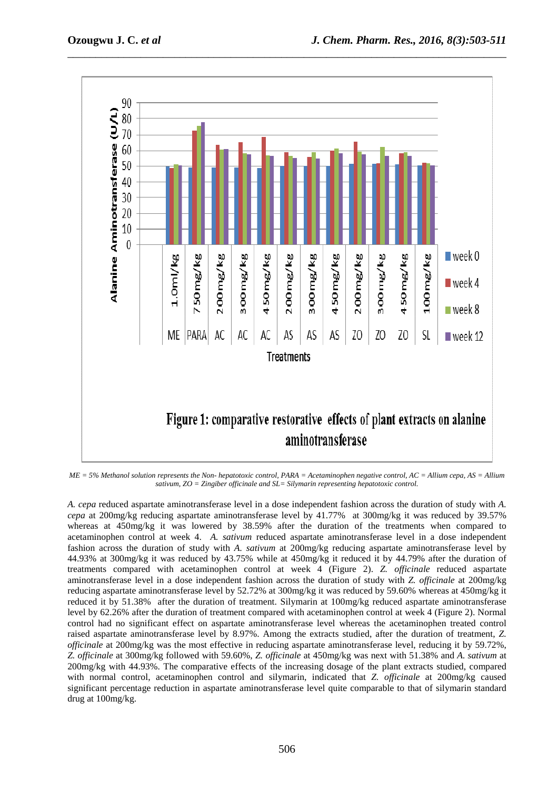

\_\_\_\_\_\_\_\_\_\_\_\_\_\_\_\_\_\_\_\_\_\_\_\_\_\_\_\_\_\_\_\_\_\_\_\_\_\_\_\_\_\_\_\_\_\_\_\_\_\_\_\_\_\_\_\_\_\_\_\_\_\_\_\_\_\_\_\_\_\_\_\_\_\_\_\_\_\_

*ME = 5% Methanol solution represents the Non- hepatotoxic control, PARA = Acetaminophen negative control, AC = Allium cepa, AS = Allium sativum, ZO = Zingiber officinale and SL= Silymarin representing hepatotoxic control.* 

*A. cepa* reduced aspartate aminotransferase level in a dose independent fashion across the duration of study with *A. cepa* at 200mg/kg reducing aspartate aminotransferase level by 41.77% at 300mg/kg it was reduced by 39.57% whereas at 450mg/kg it was lowered by 38.59% after the duration of the treatments when compared to acetaminophen control at week 4. *A. sativum* reduced aspartate aminotransferase level in a dose independent fashion across the duration of study with *A. sativum* at 200mg/kg reducing aspartate aminotransferase level by 44.93% at 300mg/kg it was reduced by 43.75% while at 450mg/kg it reduced it by 44.79% after the duration of treatments compared with acetaminophen control at week 4 (Figure 2). *Z. officinale* reduced aspartate aminotransferase level in a dose independent fashion across the duration of study with *Z. officinale* at 200mg/kg reducing aspartate aminotransferase level by 52.72% at 300mg/kg it was reduced by 59.60% whereas at 450mg/kg it reduced it by 51.38% after the duration of treatment. Silymarin at 100mg/kg reduced aspartate aminotransferase level by 62.26% after the duration of treatment compared with acetaminophen control at week 4 (Figure 2). Normal control had no significant effect on aspartate aminotransferase level whereas the acetaminophen treated control raised aspartate aminotransferase level by 8.97%. Among the extracts studied, after the duration of treatment, *Z. officinale* at 200mg/kg was the most effective in reducing aspartate aminotransferase level, reducing it by 59.72%, *Z. officinale* at 300mg/kg followed with 59.60%, *Z. officinale* at 450mg/kg was next with 51.38% and *A. sativum* at 200mg/kg with 44.93%. The comparative effects of the increasing dosage of the plant extracts studied, compared with normal control, acetaminophen control and silymarin, indicated that *Z. officinale* at 200mg/kg caused significant percentage reduction in aspartate aminotransferase level quite comparable to that of silymarin standard drug at 100mg/kg.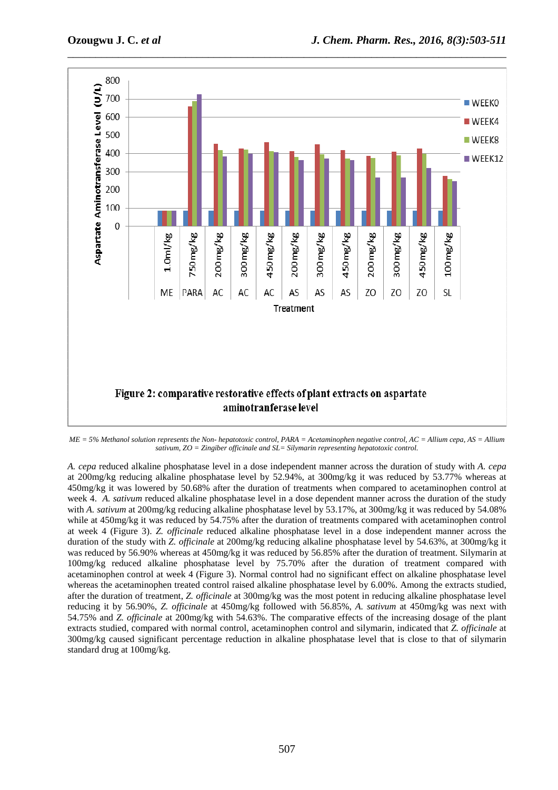

*ME = 5% Methanol solution represents the Non- hepatotoxic control, PARA = Acetaminophen negative control, AC = Allium cepa, AS = Allium sativum, ZO = Zingiber officinale and SL= Silymarin representing hepatotoxic control.* 

*A. cepa* reduced alkaline phosphatase level in a dose independent manner across the duration of study with *A. cepa* at 200mg/kg reducing alkaline phosphatase level by 52.94%, at 300mg/kg it was reduced by 53.77% whereas at 450mg/kg it was lowered by 50.68% after the duration of treatments when compared to acetaminophen control at week 4. *A. sativum* reduced alkaline phosphatase level in a dose dependent manner across the duration of the study with *A. sativum* at 200mg/kg reducing alkaline phosphatase level by 53.17%, at 300mg/kg it was reduced by 54.08% while at 450mg/kg it was reduced by 54.75% after the duration of treatments compared with acetaminophen control at week 4 (Figure 3). *Z. officinale* reduced alkaline phosphatase level in a dose independent manner across the duration of the study with *Z. officinale* at 200mg/kg reducing alkaline phosphatase level by 54.63%, at 300mg/kg it was reduced by 56.90% whereas at 450mg/kg it was reduced by 56.85% after the duration of treatment. Silymarin at 100mg/kg reduced alkaline phosphatase level by 75.70% after the duration of treatment compared with acetaminophen control at week 4 (Figure 3). Normal control had no significant effect on alkaline phosphatase level whereas the acetaminophen treated control raised alkaline phosphatase level by 6.00%. Among the extracts studied, after the duration of treatment, *Z. officinale* at 300mg/kg was the most potent in reducing alkaline phosphatase level reducing it by 56.90%, *Z. officinale* at 450mg/kg followed with 56.85%, *A. sativum* at 450mg/kg was next with 54.75% and *Z. officinale* at 200mg/kg with 54.63%. The comparative effects of the increasing dosage of the plant extracts studied, compared with normal control, acetaminophen control and silymarin, indicated that *Z. officinale* at 300mg/kg caused significant percentage reduction in alkaline phosphatase level that is close to that of silymarin standard drug at 100mg/kg.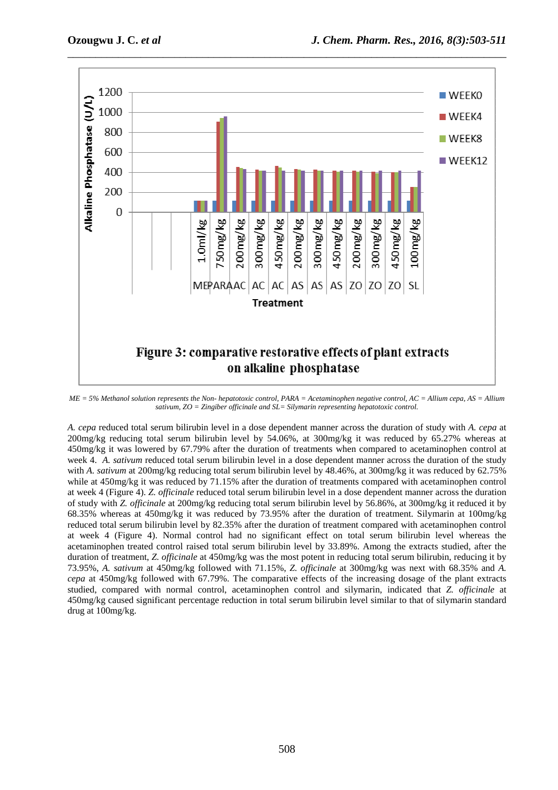

*ME = 5% Methanol solution represents the Non- hepatotoxic control, PARA = Acetaminophen negative control, AC = Allium cepa, AS = Allium sativum, ZO = Zingiber officinale and SL= Silymarin representing hepatotoxic control.* 

*A. cepa* reduced total serum bilirubin level in a dose dependent manner across the duration of study with *A. cepa* at 200mg/kg reducing total serum bilirubin level by 54.06%, at 300mg/kg it was reduced by 65.27% whereas at 450mg/kg it was lowered by 67.79% after the duration of treatments when compared to acetaminophen control at week 4. *A. sativum* reduced total serum bilirubin level in a dose dependent manner across the duration of the study with *A. sativum* at 200mg/kg reducing total serum bilirubin level by 48.46%, at 300mg/kg it was reduced by 62.75% while at 450mg/kg it was reduced by 71.15% after the duration of treatments compared with acetaminophen control at week 4 (Figure 4). *Z. officinale* reduced total serum bilirubin level in a dose dependent manner across the duration of study with *Z. officinale* at 200mg/kg reducing total serum bilirubin level by 56.86%, at 300mg/kg it reduced it by 68.35% whereas at 450mg/kg it was reduced by 73.95% after the duration of treatment. Silymarin at 100mg/kg reduced total serum bilirubin level by 82.35% after the duration of treatment compared with acetaminophen control at week 4 (Figure 4). Normal control had no significant effect on total serum bilirubin level whereas the acetaminophen treated control raised total serum bilirubin level by 33.89%. Among the extracts studied, after the duration of treatment, *Z. officinale* at 450mg/kg was the most potent in reducing total serum bilirubin, reducing it by 73.95%, *A. sativum* at 450mg/kg followed with 71.15%, *Z. officinale* at 300mg/kg was next with 68.35% and *A. cepa* at 450mg/kg followed with 67.79%. The comparative effects of the increasing dosage of the plant extracts studied, compared with normal control, acetaminophen control and silymarin, indicated that *Z. officinale* at 450mg/kg caused significant percentage reduction in total serum bilirubin level similar to that of silymarin standard drug at 100mg/kg.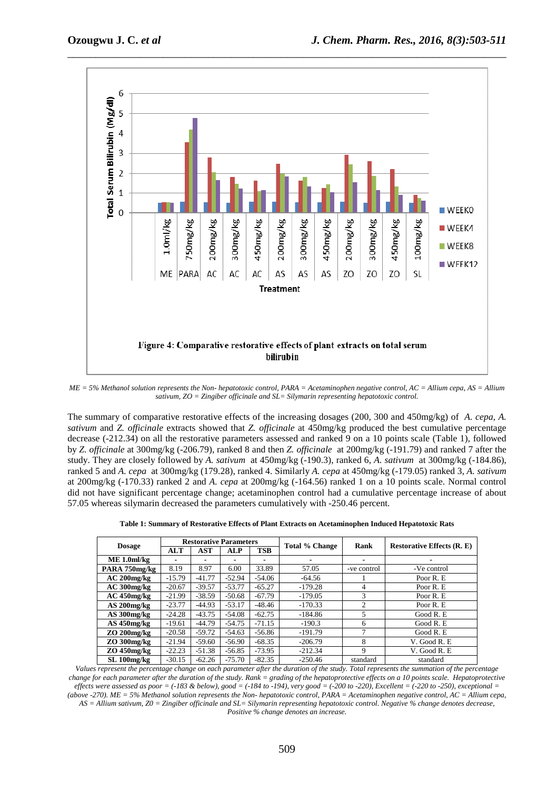

*ME = 5% Methanol solution represents the Non- hepatotoxic control, PARA = Acetaminophen negative control, AC = Allium cepa, AS = Allium sativum, ZO = Zingiber officinale and SL= Silymarin representing hepatotoxic control.* 

The summary of comparative restorative effects of the increasing dosages (200, 300 and 450mg/kg) of *A. cepa, A. sativum* and *Z. officinale* extracts showed that *Z. officinale* at 450mg/kg produced the best cumulative percentage decrease (-212.34) on all the restorative parameters assessed and ranked 9 on a 10 points scale (Table 1), followed by *Z. officinale* at 300mg/kg (-206.79), ranked 8 and then *Z. officinale* at 200mg/kg (-191.79) and ranked 7 after the study. They are closely followed by *A. sativum* at 450mg/kg (-190.3), ranked 6, *A. sativum* at 300mg/kg (-184.86), ranked 5 and *A. cepa* at 300mg/kg (179.28), ranked 4. Similarly *A. cepa* at 450mg/kg (-179.05) ranked 3, *A. sativum* at 200mg/kg (-170.33) ranked 2 and *A. cepa* at 200mg/kg (-164.56) ranked 1 on a 10 points scale. Normal control did not have significant percentage change; acetaminophen control had a cumulative percentage increase of about 57.05 whereas silymarin decreased the parameters cumulatively with -250.46 percent.

| Table 1: Summary of Restorative Effects of Plant Extracts on Acetaminophen Induced Hepatotoxic Rats |  |  |  |  |  |  |  |  |  |  |
|-----------------------------------------------------------------------------------------------------|--|--|--|--|--|--|--|--|--|--|
|-----------------------------------------------------------------------------------------------------|--|--|--|--|--|--|--|--|--|--|

|                  | <b>Restorative Parameters</b> |                          |          |          | <b>Total % Change</b> | Rank           |                                   |  |
|------------------|-------------------------------|--------------------------|----------|----------|-----------------------|----------------|-----------------------------------|--|
| <b>Dosage</b>    | <b>ALT</b>                    | <b>AST</b><br><b>ALP</b> |          | TSB      |                       |                | <b>Restorative Effects (R. E)</b> |  |
| $ME 1.0$ ml/kg   |                               |                          |          |          |                       | $\blacksquare$ |                                   |  |
| PARA 750mg/kg    | 8.19                          | 8.97                     | 6.00     | 33.89    | 57.05                 | -ve control    | -Ve control                       |  |
| $AC 200$ mg/kg   | $-15.79$                      | $-41.77$                 | $-52.94$ | $-54.06$ | $-64.56$              |                | Poor R. E                         |  |
| $AC300$ mg/ $kg$ | $-20.67$                      | $-39.57$                 | $-53.77$ | $-65.27$ | $-179.28$             | 4              | Poor R. E                         |  |
| $AC$ 450mg/kg    | $-21.99$                      | $-38.59$                 | $-50.68$ | $-67.79$ | $-179.05$             | 3              | Poor R. E                         |  |
| $AS$ 200 $mg/kg$ | $-23.77$                      | $-44.93$                 | $-53.17$ | $-48.46$ | $-170.33$             | $\overline{c}$ | Poor R. E                         |  |
| AS 300mg/kg      | $-24.28$                      | $-43.75$                 | $-54.08$ | $-62.75$ | $-184.86$             | 5              | Good R.E                          |  |
| $AS$ 450mg/kg    | $-19.61$                      | $-44.79$                 | $-54.75$ | $-71.15$ | $-190.3$              | 6              | Good R. E                         |  |
| $ZO$ 200 $mg/kg$ | $-20.58$                      | $-59.72$                 | $-54.63$ | $-56.86$ | $-191.79$             | $\overline{7}$ | Good R.E                          |  |
| $ZO$ 300 $mg/kg$ | $-21.94$                      | $-59.60$                 | $-56.90$ | $-68.35$ | $-206.79$             | 8              | V. Good R. E                      |  |
| $ZO$ 450mg/kg    | $-22.23$                      | $-51.38$                 | $-56.85$ | $-73.95$ | $-212.34$             | 9              | V. Good R. E                      |  |
| SL 100mg/kg      | $-30.15$                      | $-62.26$                 | $-75.70$ | $-82.35$ | $-250.46$             | standard       | standard                          |  |

*Values represent the percentage change on each parameter after the duration of the study. Total represents the summation of the percentage change for each parameter after the duration of the study. Rank = grading of the hepatoprotective effects on a 10 points scale. Hepatoprotective effects were assessed as poor = (-183 & below), good = (-184 to -194), very good = (-200 to -220), Excellent = (-220 to -250), exceptional = (above -270). ME = 5% Methanol solution represents the Non- hepatotoxic control, PARA = Acetaminophen negative control, AC = Allium cepa, AS = Allium sativum, Z0 = Zingiber officinale and SL= Silymarin representing hepatotoxic control. Negative % change denotes decrease, Positive % change denotes an increase.*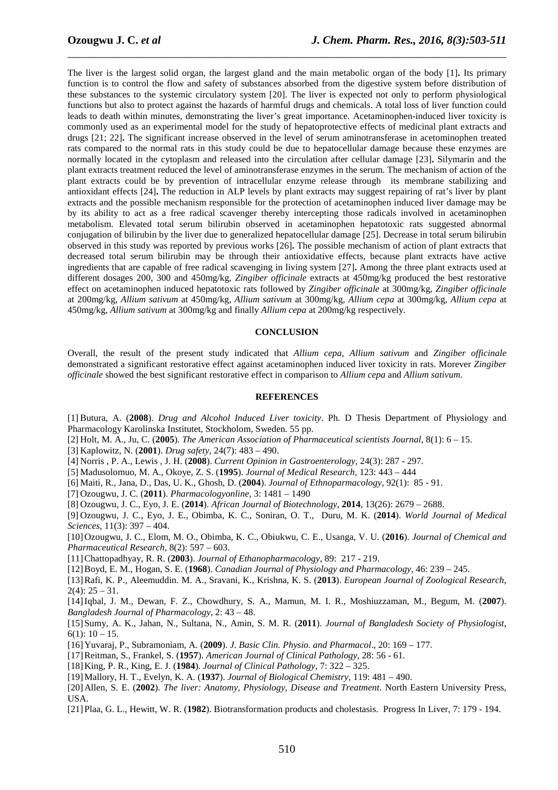The liver is the largest solid organ, the largest gland and the main metabolic organ of the body [1]**.** Its primary function is to control the flow and safety of substances absorbed from the digestive system before distribution of these substances to the systemic circulatory system [20]. The liver is expected not only to perform physiological functions but also to protect against the hazards of harmful drugs and chemicals. A total loss of liver function could leads to death within minutes, demonstrating the liver's great importance. Acetaminophen-induced liver toxicity is commonly used as an experimental model for the study of hepatoprotective effects of medicinal plant extracts and drugs [21; 22]**.** The significant increase observed in the level of serum aminotransferase in acetominophen treated rats compared to the normal rats in this study could be due to hepatocellular damage because these enzymes are normally located in the cytoplasm and released into the circulation after cellular damage [23]**.** Silymarin and the plant extracts treatment reduced the level of aminotransferase enzymes in the serum. The mechanism of action of the plant extracts could be by prevention of intracellular enzyme release through its membrane stabilizing and antioxidant effects [24]**.** The reduction in ALP levels by plant extracts may suggest repairing of rat's liver by plant extracts and the possible mechanism responsible for the protection of acetaminophen induced liver damage may be by its ability to act as a free radical scavenger thereby intercepting those radicals involved in acetaminophen metabolism. Elevated total serum bilirubin observed in acetaminophen hepatotoxic rats suggested abnormal conjugation of bilirubin by the liver due to generalized hepatocellular damage [25]. Decrease in total serum bilirubin observed in this study was reported by previous works [26]**.** The possible mechanism of action of plant extracts that decreased total serum bilirubin may be through their antioxidative effects, because plant extracts have active ingredients that are capable of free radical scavenging in living system [27]**.** Among the three plant extracts used at different dosages 200, 300 and 450mg/kg, *Zingiber officinale* extracts at 450mg/kg produced the best restorative effect on acetaminophen induced hepatotoxic rats followed by *Zingiber officinale* at 300mg/kg, *Zingiber officinale* at 200mg/kg, *Allium sativum* at 450mg/kg, *Allium sativum* at 300mg/kg, *Allium cepa* at 300mg/kg, *Allium cepa* at 450mg/kg, *Allium sativum* at 300mg/kg and finally *Allium cepa* at 200mg/kg respectively.

\_\_\_\_\_\_\_\_\_\_\_\_\_\_\_\_\_\_\_\_\_\_\_\_\_\_\_\_\_\_\_\_\_\_\_\_\_\_\_\_\_\_\_\_\_\_\_\_\_\_\_\_\_\_\_\_\_\_\_\_\_\_\_\_\_\_\_\_\_\_\_\_\_\_\_\_\_\_

#### **CONCLUSION**

Overall, the result of the present study indicated that *Allium cepa*, *Allium sativum* and *Zingiber officinale* demonstrated a significant restorative effect against acetaminophen induced liver toxicity in rats. Morever *Zingiber officinale* showed the best significant restorative effect in comparison to *Allium cepa* and *Allium sativum*.

#### **REFERENCES**

[1] Butura, A. (**2008**). *Drug and Alcohol Induced Liver toxicity*. Ph. D Thesis Department of Physiology and Pharmacology Karolinska Institutet, Stockholom, Sweden. 55 pp.

[2] Holt, M. A., Ju, C. (**2005**). *The American Association of Pharmaceutical scientists Journal*, 8(1): 6 – 15.

[3] Kaplowitz, N. (**2001**). *Drug safety*, 24(7): 483 – 490.

[4] Norris , P. A., Lewis , J. H. (**2008**). *Current Opinion in Gastroenterology,* 24(3): 287 - 297.

[5] Madusolomuo, M. A., Okoye, Z. S. (**1995**). *Journal of Medical Research*, 123: 443 – 444

[6] Maiti, R., Jana, D., Das, U. K., Ghosh, D. (**2004**). *Journal of Ethnoparmacology*, 92(1): 85 - 91.

[7] Ozougwu, J. C. (**2011**). *Pharmacologyonline*, 3: 1481 – 1490

[8] Ozougwu, J. C., Eyo, J. E. (**2014**). *African Journal of Biotechnology*, **2014**, 13(26): 2679 – 2688.

[9] Ozougwu, J. C., Eyo, J. E., Obimba, K. C., Soniran, O. T., Duru, M. K. (**2014**). *World Journal of Medical Sciences*, 11(3): 397 – 404.

[10]Ozougwu, J. C., Elom, M. O., Obimba, K. C., Obiukwu, C. E., Usanga, V. U. (**2016**). *Journal of Chemical and Pharmaceutical Research,* 8(2): 597 – 603.

[11]Chattopadhyay, R. R. (**2003**). *Journal of Ethanopharmacology,* 89: 217 - 219.

[12]Boyd, E. M., Hogan, S. E. (**1968**). *Canadian Journal of Physiology and Pharmacology*, 46: 239 – 245.

[13]Rafi, K. P., Aleemuddin. M. A., Sravani, K., Krishna, K. S. (**2013**). *European Journal of Zoological Research*,  $2(4)$ :  $25 - 31$ .

[14]Iqbal, J. M., Dewan, F. Z., Chowdhury, S. A., Mamun, M. I. R., Moshiuzzaman, M., Begum, M. (**2007**). *Bangladesh Journal of Pharmacology*, 2: 43 – 48.

[15]Sumy, A. K., Jahan, N., Sultana, N., Amin, S. M. R. (**2011**). *Journal of Bangladesh Society of Physiologist*,  $6(1): 10 - 15.$ 

[16]Yuvaraj, P., Subramoniam, A. (**2009**). *J. Basic Clin. Physio. and Pharmacol*., 20: 169 – 177.

- [17]Reitman, S., Frankel, S. (**1957**). *American Journal of Clinical Pathology*, 28: 56 61.
- [18]King, P. R., King, E. J. (**1984**). *Journal of Clinical Pathology*, 7: 322 325.
- [19]Mallory, H. T., Evelyn, K. A. (**1937**). *Journal of Biological Chemistry*, 119: 481 490.

[20]Allen, S. E. (**2002**). *The liver: Anatomy, Physiology, Disease and Treatment*. North Eastern University Press, USA.

[21]Plaa, G. L., Hewitt, W. R. (**1982**). Biotransformation products and cholestasis. Progress In Liver, 7: 179 - 194.